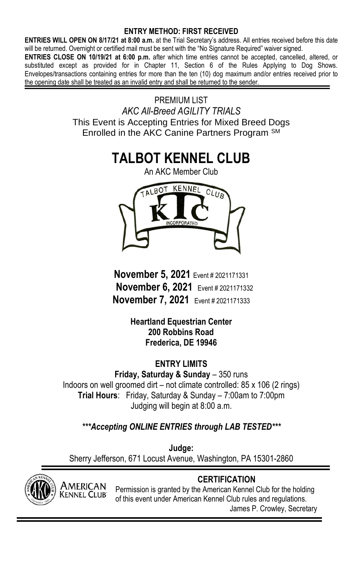### **ENTRY METHOD: FIRST RECEIVED**

**ENTRIES WILL OPEN ON 8/17/21 at 8:00 a.m.** at the Trial Secretary's address. All entries received before this date will be returned. Overnight or certified mail must be sent with the "No Signature Required" waiver signed.

**ENTRIES CLOSE ON 10/19/21 at 6:00 p.m.** after which time entries cannot be accepted, cancelled, altered, or substituted except as provided for in Chapter 11, Section 6 of the Rules Applying to Dog Shows. Envelopes/transactions containing entries for more than the ten (10) dog maximum and/or entries received prior to the opening date shall be treated as an invalid entry and shall be returned to the sender.

> PREMIUM LIST *AKC All-Breed AGILITY TRIALS* This Event is Accepting Entries for Mixed Breed Dogs Enrolled in the AKC Canine Partners Program SM

# **TALBOT KENNEL CLUB**



**November 5, 2021** Event # 2021171331 **November 6, 2021** Event # 2021171332 **November 7, 2021** Event # 2021171333

> **Heartland Equestrian Center 200 Robbins Road Frederica, DE 19946**

**ENTRY LIMITS Friday, Saturday & Sunday** – 350 runs Indoors on well groomed dirt – not climate controlled: 85 x 106 (2 rings) **Trial Hours**: Friday, Saturday & Sunday – 7:00am to 7:00pm Judging will begin at 8:00 a.m.

*\*\*\*Accepting ONLINE ENTRIES through LAB TESTED\*\*\**

**Judge:** Sherry Jefferson, 671 Locust Avenue, Washington, PA 15301-2860



AMERICAN Kennel Club<sup>®</sup>

Permission is granted by the American Kennel Club for the holding of this event under American Kennel Club rules and regulations. James P. Crowley, Secretary

# **CERTIFICATION**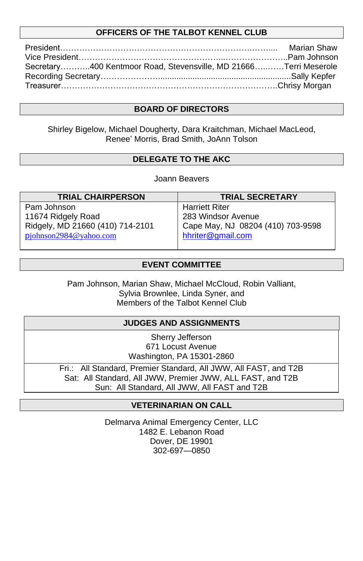### **OFFICERS OF THE TALBOT KENNEL CLUB**

|                                                                  | Marian Shaw |
|------------------------------------------------------------------|-------------|
|                                                                  |             |
| Secretary400 Kentmoor Road, Stevensville, MD 21666Terri Meserole |             |
|                                                                  |             |
|                                                                  |             |

### **BOARD OF DIRECTORS**

Shirley Bigelow, Michael Dougherty, Dara Kraitchman, Michael MacLeod, Renee' Morris, Brad Smith, JoAnn Tolson

### **DELEGATE TO THE AKC**

Joann Beavers

| <b>TRIAL CHAIRPERSON</b>            | <b>TRIAL SECRETARY</b>            |
|-------------------------------------|-----------------------------------|
| Pam Johnson                         | <b>Harriett Riter</b>             |
| 11674 Ridgely Road                  | 283 Windsor Avenue                |
| Ridgely, MD 21660 (410) 714-2101    | Cape May, NJ 08204 (410) 703-9598 |
| p <sub>j</sub> ohnson2984@yahoo.com | hhriter@gmail.com                 |
|                                     |                                   |

### **EVENT COMMITTEE**

Pam Johnson, Marian Shaw, Michael McCloud, Robin Valliant, Sylvia Brownlee, Linda Syner, and Members of the Talbot Kennel Club

### **JUDGES AND ASSIGNMENTS**

Sherry Jefferson 671 Locust Avenue Washington, PA 15301-2860

Fri.: All Standard, Premier Standard, All JWW, All FAST, and T2B Sat: All Standard, All JWW, Premier JWW, ALL FAST, and T2B Sun: All Standard, All JWW, All FAST and T2B

### **VETERINARIAN ON CALL**

Delmarva Animal Emergency Center, LLC 1482 E. Lebanon Road Dover, DE 19901 302-697—0850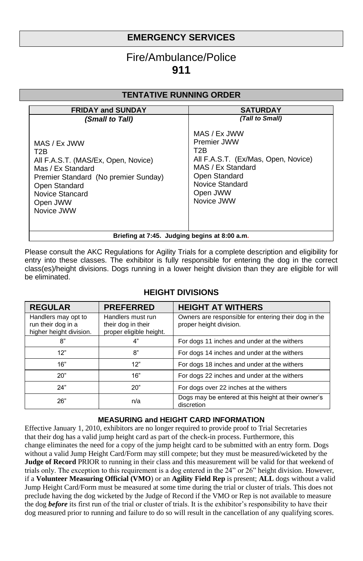# **EMERGENCY SERVICES**

# Fire/Ambulance/Police **911**

### **TENTATIVE RUNNING ORDER**

| <b>FRIDAY and SUNDAY</b>                                                                                                                                                                           | <b>SATURDAY</b>                                                                                                                                              |  |  |
|----------------------------------------------------------------------------------------------------------------------------------------------------------------------------------------------------|--------------------------------------------------------------------------------------------------------------------------------------------------------------|--|--|
| (Small to Tall)                                                                                                                                                                                    | (Tall to Small)                                                                                                                                              |  |  |
| MAS / Ex JWW<br>T <sub>2</sub> B<br>All F.A.S.T. (MAS/Ex, Open, Novice)<br>Mas / Ex Standard<br>Premier Standard (No premier Sunday)<br>Open Standard<br>Novice Stancard<br>Open JWW<br>Novice JWW | MAS / Ex JWW<br>Premier JWW<br>T2B<br>All F.A.S.T. (Ex/Mas, Open, Novice)<br>MAS / Ex Standard<br>Open Standard<br>Novice Standard<br>Open JWW<br>Novice JWW |  |  |
| Briefing at 7:45. Judging begins at 8:00 a.m.                                                                                                                                                      |                                                                                                                                                              |  |  |

Please consult the AKC Regulations for Agility Trials for a complete description and eligibility for entry into these classes. The exhibitor is fully responsible for entering the dog in the correct class(es)/height divisions. Dogs running in a lower height division than they are eligible for will be eliminated.

| <b>REGULAR</b>                                                       | <b>PREFERRED</b>                                                   | <b>HEIGHT AT WITHERS</b>                                                        |
|----------------------------------------------------------------------|--------------------------------------------------------------------|---------------------------------------------------------------------------------|
| Handlers may opt to<br>run their dog in a<br>higher height division. | Handlers must run<br>their dog in their<br>proper eligible height. | Owners are responsible for entering their dog in the<br>proper height division. |
| 8"                                                                   | 4"                                                                 | For dogs 11 inches and under at the withers                                     |
| 12"                                                                  | 8"                                                                 | For dogs 14 inches and under at the withers                                     |
| 16"                                                                  | 12"                                                                | For dogs 18 inches and under at the withers                                     |
| 20"                                                                  | 16"                                                                | For dogs 22 inches and under at the withers                                     |
| 24"                                                                  | 20"                                                                | For dogs over 22 inches at the withers                                          |
| 26"                                                                  | n/a                                                                | Dogs may be entered at this height at their owner's<br>discretion               |

### **HEIGHT DIVISIONS**

#### **MEASURING and HEIGHT CARD INFORMATION**

Effective January 1, 2010, exhibitors are no longer required to provide proof to Trial Secretaries that their dog has a valid jump height card as part of the check-in process. Furthermore, this change eliminates the need for a copy of the jump height card to be submitted with an entry form. Dogs without a valid Jump Height Card/Form may still compete; but they must be measured/wicketed by the **Judge of Record** PRIOR to running in their class and this measurement will be valid for that weekend of trials only. The exception to this requirement is a dog entered in the 24" or 26" height division. However, if a **Volunteer Measuring Official (VMO**) or an **Agility Field Rep** is present; **ALL** dogs without a valid Jump Height Card/Form must be measured at some time during the trial or cluster of trials. This does not preclude having the dog wicketed by the Judge of Record if the VMO or Rep is not available to measure the dog *before* its first run of the trial or cluster of trials. It is the exhibitor's responsibility to have their dog measured prior to running and failure to do so will result in the cancellation of any qualifying scores.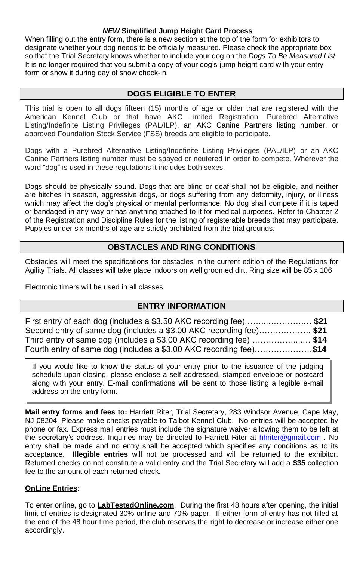### *NEW* **Simplified Jump Height Card Process**

When filling out the entry form, there is a new section at the top of the form for exhibitors to designate whether your dog needs to be officially measured. Please check the appropriate box so that the Trial Secretary knows whether to include your dog on the *Dogs To Be Measured List*. It is no longer required that you submit a copy of your dog's jump height card with your entry form or show it during day of show check-in.

### **DOGS ELIGIBLE TO ENTER**

This trial is open to all dogs fifteen (15) months of age or older that are registered with the American Kennel Club or that have AKC Limited Registration, Purebred Alternative Listing/Indefinite Listing Privileges (PAL/ILP), an AKC Canine Partners listing number, or approved Foundation Stock Service (FSS) breeds are eligible to participate.

Dogs with a Purebred Alternative Listing/Indefinite Listing Privileges (PAL/ILP) or an AKC Canine Partners listing number must be spayed or neutered in order to compete. Wherever the word "dog" is used in these regulations it includes both sexes.

Dogs should be physically sound. Dogs that are blind or deaf shall not be eligible, and neither are bitches in season, aggressive dogs, or dogs suffering from any deformity, injury, or illness which may affect the dog's physical or mental performance. No dog shall compete if it is taped or bandaged in any way or has anything attached to it for medical purposes. Refer to Chapter 2 of the Registration and Discipline Rules for the listing of registerable breeds that may participate. Puppies under six months of age are strictly prohibited from the trial grounds.

### **OBSTACLES AND RING CONDITIONS**

Obstacles will meet the specifications for obstacles in the current edition of the Regulations for Agility Trials. All classes will take place indoors on well groomed dirt. Ring size will be 85 x 106

Electronic timers will be used in all classes.

### **ENTRY INFORMATION**

| First entry of each dog (includes a \$3.50 AKC recording fee)\$21  |  |
|--------------------------------------------------------------------|--|
| Second entry of same dog (includes a \$3.00 AKC recording fee)\$21 |  |
| Third entry of same dog (includes a \$3.00 AKC recording fee) \$14 |  |
| Fourth entry of same dog (includes a \$3.00 AKC recording fee)\$14 |  |

If you would like to know the status of your entry prior to the issuance of the judging schedule upon closing, please enclose a self-addressed, stamped envelope or postcard along with your entry. E-mail confirmations will be sent to those listing a legible e-mail address on the entry form.

**Mail entry forms and fees to:** Harriett Riter, Trial Secretary, 283 Windsor Avenue, Cape May, NJ 08204. Please make checks payable to Talbot Kennel Club. No entries will be accepted by phone or fax. Express mail entries must include the signature waiver allowing them to be left at the secretary's address. Inquiries may be directed to Harriett Riter at [hhriter@gmail.com](mailto:hhriter@gmail.com) . No entry shall be made and no entry shall be accepted which specifies any conditions as to its acceptance. **Illegible entries** will not be processed and will be returned to the exhibitor. Returned checks do not constitute a valid entry and the Trial Secretary will add a **\$35** collection fee to the amount of each returned check.

### **OnLine Entries**:

To enter online, go to **LabTestedOnline.com**. During the first 48 hours after opening, the initial limit of entries is designated 30% online and 70% paper. If either form of entry has not filled at the end of the 48 hour time period, the club reserves the right to decrease or increase either one accordingly.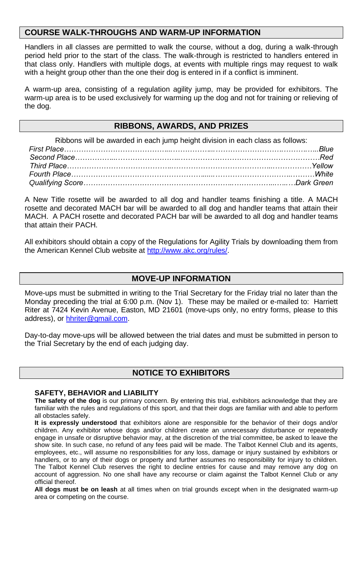### **COURSE WALK-THROUGHS AND WARM-UP INFORMATION**

Handlers in all classes are permitted to walk the course, without a dog, during a walk-through period held prior to the start of the class. The walk-through is restricted to handlers entered in that class only. Handlers with multiple dogs, at events with multiple rings may request to walk with a height group other than the one their dog is entered in if a conflict is imminent.

A warm-up area, consisting of a regulation agility jump, may be provided for exhibitors. The warm-up area is to be used exclusively for warming up the dog and not for training or relieving of the dog.

### **RIBBONS, AWARDS, AND PRIZES**

| Ribbons will be awarded in each jump height division in each class as follows: |  |
|--------------------------------------------------------------------------------|--|
|                                                                                |  |
|                                                                                |  |
|                                                                                |  |
|                                                                                |  |
|                                                                                |  |

A New Title rosette will be awarded to all dog and handler teams finishing a title. A MACH rosette and decorated MACH bar will be awarded to all dog and handler teams that attain their MACH. A PACH rosette and decorated PACH bar will be awarded to all dog and handler teams that attain their PACH.

All exhibitors should obtain a copy of the Regulations for Agility Trials by downloading them from the American Kennel Club website a[t http://www.akc.org/rules/.](http://www.akc.org/rules/)

### **MOVE-UP INFORMATION**

Move-ups must be submitted in writing to the Trial Secretary for the Friday trial no later than the Monday preceding the trial at 6:00 p.m. (Nov 1). These may be mailed or e-mailed to: Harriett Riter at 7424 Kevin Avenue, Easton, MD 21601 (move-ups only, no entry forms, please to this address), or [hhriter@gmail.com.](mailto:hhriter@gmail.com)

Day-to-day move-ups will be allowed between the trial dates and must be submitted in person to the Trial Secretary by the end of each judging day.

### **NOTICE TO EXHIBITORS**

#### **SAFETY, BEHAVIOR and LIABILITY**

**The safety of the dog** is our primary concern. By entering this trial, exhibitors acknowledge that they are familiar with the rules and regulations of this sport, and that their dogs are familiar with and able to perform all obstacles safely.

**It is expressly understood** that exhibitors alone are responsible for the behavior of their dogs and/or children. Any exhibitor whose dogs and/or children create an unnecessary disturbance or repeatedly engage in unsafe or disruptive behavior may, at the discretion of the trial committee, be asked to leave the show site. In such case, no refund of any fees paid will be made. The Talbot Kennel Club and its agents, employees, etc., will assume no responsibilities for any loss, damage or injury sustained by exhibitors or handlers, or to any of their dogs or property and further assumes no responsibility for injury to children. The Talbot Kennel Club reserves the right to decline entries for cause and may remove any dog on account of aggression. No one shall have any recourse or claim against the Talbot Kennel Club or any official thereof.

**All dogs must be on leash** at all times when on trial grounds except when in the designated warm-up area or competing on the course.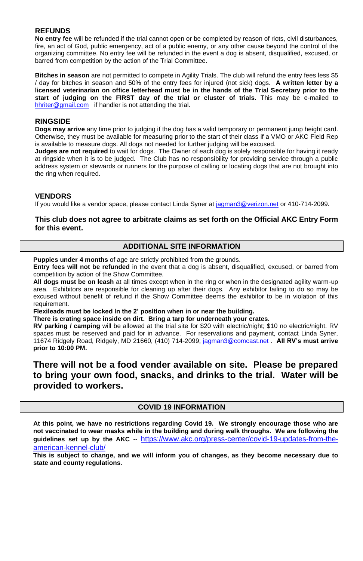#### **REFUNDS**

**No entry fee** will be refunded if the trial cannot open or be completed by reason of riots, civil disturbances, fire, an act of God, public emergency, act of a public enemy, or any other cause beyond the control of the organizing committee. No entry fee will be refunded in the event a dog is absent, disqualified, excused, or barred from competition by the action of the Trial Committee.

**Bitches in season** are not permitted to compete in Agility Trials. The club will refund the entry fees less \$5 / day for bitches in season and 50% of the entry fees for injured (not sick) dogs. **A written letter by a licensed veterinarian on office letterhead must be in the hands of the Trial Secretary prior to the start of judging on the FIRST day of the trial or cluster of trials.** This may be e-mailed to [hhriter@gmail.com](mailto:hhriter@gmail.com) if handler is not attending the trial.

#### **RINGSIDE**

**Dogs may arrive** any time prior to judging if the dog has a valid temporary or permanent jump height card. Otherwise, they must be available for measuring prior to the start of their class if a VMO or AKC Field Rep is available to measure dogs. All dogs not needed for further judging will be excused.

**Judges are not required** to wait for dogs. The Owner of each dog is solely responsible for having it ready at ringside when it is to be judged. The Club has no responsibility for providing service through a public address system or stewards or runners for the purpose of calling or locating dogs that are not brought into the ring when required.

#### **VENDORS**

If you would like a vendor space, please contact Linda Syner at [jagman3@verizon.net](mailto:jagman3@verizon.net) or 410-714-2099.

#### **This club does not agree to arbitrate claims as set forth on the Official AKC Entry Form for this event.**

### **ADDITIONAL SITE INFORMATION**

**Puppies under 4 months** of age are strictly prohibited from the grounds.

**Entry fees will not be refunded** in the event that a dog is absent, disqualified, excused, or barred from competition by action of the Show Committee.

**All dogs must be on leash** at all times except when in the ring or when in the designated agility warm-up area. Exhibitors are responsible for cleaning up after their dogs. Any exhibitor failing to do so may be excused without benefit of refund if the Show Committee deems the exhibitor to be in violation of this requirement.

**Flexileads must be locked in the 2' position when in or near the building.**

**There is crating space inside on dirt. Bring a tarp for underneath your crates.**

**RV parking / camping** will be allowed at the trial site for \$20 with electric/night; \$10 no electric/night. RV spaces must be reserved and paid for in advance. For reservations and payment, contact Linda Syner, 11674 Ridgely Road, Ridgely, MD 21660, (410) 714-2099[; jagman3@comcast.net](mailto:jagman3@comcast.net) . **All RV's must arrive prior to 10:00 PM.**

### **There will not be a food vender available on site. Please be prepared to bring your own food, snacks, and drinks to the trial. Water will be provided to workers.**

#### **COVID 19 INFORMATION**

**At this point, we have no restrictions regarding Covid 19. We strongly encourage those who are not vaccinated to wear masks while in the building and during walk throughs. We are following the guidelines set up by the AKC --** [https://www.akc.org/press-center/covid-19-updates-from-the](https://www.akc.org/press-center/covid-19-updates-from-the-american-kennel-club/)[american-kennel-club/](https://www.akc.org/press-center/covid-19-updates-from-the-american-kennel-club/)

**This is subject to change, and we will inform you of changes, as they become necessary due to state and county regulations.**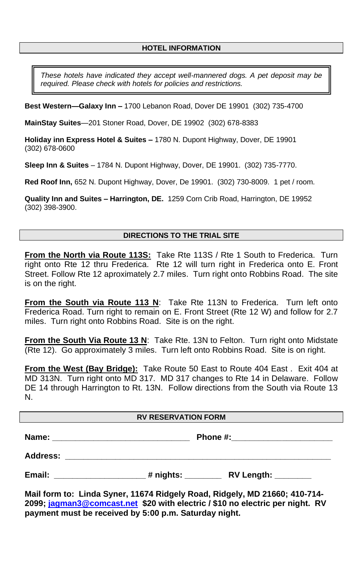### **HOTEL INFORMATION**

*These hotels have indicated they accept well-mannered dogs. A pet deposit may be required. Please check with hotels for policies and restrictions.* 

**Best Western—Galaxy Inn –** 1700 Lebanon Road, Dover DE 19901 (302) 735-4700

**MainStay Suites**—201 Stoner Road, Dover, DE 19902 (302) 678-8383

**Holiday inn Express Hotel & Suites –** 1780 N. Dupont Highway, Dover, DE 19901 (302) 678-0600

**Sleep Inn & Suites** – 1784 N. Dupont Highway, Dover, DE 19901. (302) 735-7770.

**Red Roof Inn,** 652 N. Dupont Highway, Dover, De 19901. (302) 730-8009. 1 pet / room.

**Quality Inn and Suites – Harrington, DE.** 1259 Corn Crib Road, Harrington, DE 19952 (302) 398-3900.

#### **DIRECTIONS TO THE TRIAL SITE**

**From the North via Route 113S:** Take Rte 113S / Rte 1 South to Frederica. Turn right onto Rte 12 thru Frederica. Rte 12 will turn right in Frederica onto E. Front Street. Follow Rte 12 aproximately 2.7 miles. Turn right onto Robbins Road. The site is on the right.

**From the South via Route 113 N**: Take Rte 113N to Frederica. Turn left onto Frederica Road. Turn right to remain on E. Front Street (Rte 12 W) and follow for 2.7 miles. Turn right onto Robbins Road. Site is on the right.

**From the South Via Route 13 N**: Take Rte. 13N to Felton. Turn right onto Midstate (Rte 12). Go approximately 3 miles. Turn left onto Robbins Road. Site is on right.

**From the West (Bay Bridge):** Take Route 50 East to Route 404 East . Exit 404 at MD 313N. Turn right onto MD 317. MD 317 changes to Rte 14 in Delaware. Follow DE 14 through Harrington to Rt. 13N. Follow directions from the South via Route 13 N.

#### **RV RESERVATION FORM**

**Name: \_\_\_\_\_\_\_\_\_\_\_\_\_\_\_\_\_\_\_\_\_\_\_\_\_\_\_\_\_\_ Phone #:\_\_\_\_\_\_\_\_\_\_\_\_\_\_\_\_\_\_\_\_\_\_ Address: \_\_\_\_\_\_\_\_\_\_\_\_\_\_\_\_\_\_\_\_\_\_\_\_\_\_\_\_\_\_\_\_\_\_\_\_\_\_\_\_\_\_\_\_\_\_\_\_\_\_\_\_\_\_\_\_\_\_**

**Email:**  $\qquad \qquad \qquad \qquad \qquad \qquad$  # nights:  $\qquad \qquad \qquad \qquad \text{RV Length:}$ 

**Mail form to: Linda Syner, 11674 Ridgely Road, Ridgely, MD 21660; 410-714- 2099[; jagman3@comcast.net](mailto:jagman3@comcast.net) \$20 with electric / \$10 no electric per night. RV payment must be received by 5:00 p.m. Saturday night.**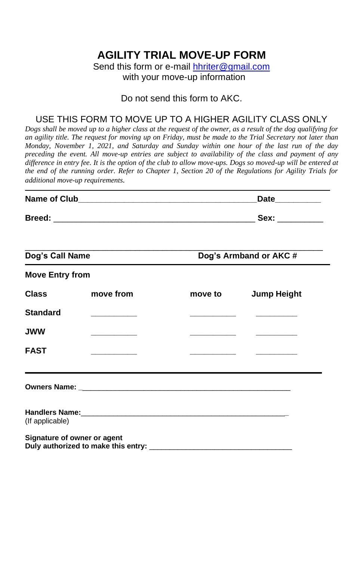# **AGILITY TRIAL MOVE-UP FORM**

Send this form or e-mail [hhriter@gmail.com](mailto:hhriter@gmail.com)

with your move-up information

### Do not send this form to AKC.

# USE THIS FORM TO MOVE UP TO A HIGHER AGILITY CLASS ONLY

*Dogs shall be moved up to a higher class at the request of the owner, as a result of the dog qualifying for an agility title. The request for moving up on Friday, must be made to the Trial Secretary not later than Monday, November 1, 2021, and Saturday and Sunday within one hour of the last run of the day preceding the event. All move-up entries are subject to availability of the class and payment of any difference in entry fee. It is the option of the club to allow move-ups. Dogs so moved-up will be entered at the end of the running order. Refer to Chapter 1, Section 20 of the Regulations for Agility Trials for additional move-up requirements.*

|                        |                                                                                  | Date__________                    |                                                                                                                       |  |  |
|------------------------|----------------------------------------------------------------------------------|-----------------------------------|-----------------------------------------------------------------------------------------------------------------------|--|--|
|                        |                                                                                  |                                   |                                                                                                                       |  |  |
| Dog's Call Name        |                                                                                  | Dog's Armband or AKC#             |                                                                                                                       |  |  |
| <b>Move Entry from</b> |                                                                                  |                                   |                                                                                                                       |  |  |
| <b>Class</b>           | move from                                                                        | move to more                      | <b>Jump Height</b>                                                                                                    |  |  |
| <b>Standard</b>        |                                                                                  | the control of the control of the | the contract of the con-                                                                                              |  |  |
| <b>JWW</b>             | and the company of the company                                                   |                                   | <u> La Carlo de la Carlo de la Carlo de la Carlo de la Carlo de la Carlo de la Carlo de la Carlo de la Carlo de l</u> |  |  |
| <b>FAST</b>            | the control of the control of the                                                |                                   |                                                                                                                       |  |  |
|                        | ,我们也不会有什么。""我们的人,我们也不会有什么?""我们的人,我们也不会有什么?""我们的人,我们也不会有什么?""我们的人,我们也不会有什么?""我们的人 |                                   |                                                                                                                       |  |  |
| (If applicable)        |                                                                                  |                                   |                                                                                                                       |  |  |
|                        | Signature of owner or agent                                                      |                                   |                                                                                                                       |  |  |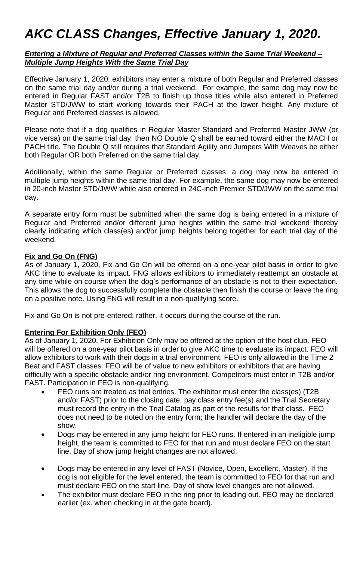# *AKC CLASS Changes, Effective January 1, 2020.*

#### *Entering a Mixture of Regular and Preferred Classes within the Same Trial Weekend – Multiple Jump Heights With the Same Trial Day*

Effective January 1, 2020, exhibitors may enter a mixture of both Regular and Preferred classes on the same trial day and/or during a trial weekend. For example, the same dog may now be entered in Regular FAST and/or T2B to finish up those titles while also entered in Preferred Master STD/JWW to start working towards their PACH at the lower height. Any mixture of Regular and Preferred classes is allowed.

Please note that if a dog qualifies in Regular Master Standard and Preferred Master JWW (or vice versa) on the same trial day, then NO Double Q shall be earned toward either the MACH or PACH title. The Double Q still requires that Standard Agility and Jumpers With Weaves be either both Regular OR both Preferred on the same trial day.

Additionally, within the same Regular or Preferred classes, a dog may now be entered in multiple jump heights within the same trial day. For example, the same dog may now be entered in 20-inch Master STD/JWW while also entered in 24C-inch Premier STD/JWW on the same trial day.

A separate entry form must be submitted when the same dog is being entered in a mixture of Regular and Preferred and/or different jump heights within the same trial weekend thereby clearly indicating which class(es) and/or jump heights belong together for each trial day of the weekend.

#### **Fix and Go On (FNG)**

As of January 1, 2020, Fix and Go On will be offered on a one-year pilot basis in order to give AKC time to evaluate its impact. FNG allows exhibitors to immediately reattempt an obstacle at any time while on course when the dog's performance of an obstacle is not to their expectation. This allows the dog to successfully complete the obstacle then finish the course or leave the ring on a positive note. Using FNG will result in a non-qualifying score.

Fix and Go On is not pre-entered; rather, it occurs during the course of the run.

#### **Entering For Exhibition Only (FEO)**

As of January 1, 2020, For Exhibition Only may be offered at the option of the host club. FEO will be offered on a one-year pilot basis in order to give AKC time to evaluate its impact. FEO will allow exhibitors to work with their dogs in a trial environment. FEO is only allowed in the Time 2 Beat and FAST classes. FEO will be of value to new exhibitors or exhibitors that are having difficulty with a specific obstacle and/or ring environment. Competitors must enter in T2B and/or FAST. Participation in FEO is non-qualifying.

- FEO runs are treated as trial entries. The exhibitor must enter the class(es) (T2B and/or FAST) prior to the closing date, pay class entry fee(s) and the Trial Secretary must record the entry in the Trial Catalog as part of the results for that class. FEO does not need to be noted on the entry form; the handler will declare the day of the show.
- Dogs may be entered in any jump height for FEO runs. If entered in an ineligible jump height, the team is committed to FEO for that run and must declare FEO on the start line. Day of show jump height changes are not allowed.
- Dogs may be entered in any level of FAST (Novice, Open, Excellent, Master). If the dog is not eligible for the level entered, the team is committed to FEO for that run and must declare FEO on the start line. Day of show level changes are not allowed.
- The exhibitor must declare FEO in the ring prior to leading out. FEO may be declared earlier (ex. when checking in at the gate board).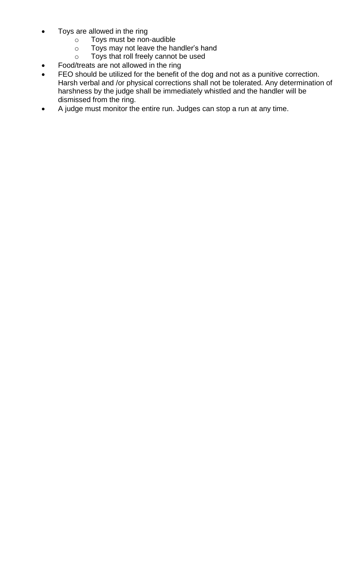- Toys are allowed in the ring
	- o Toys must be non-audible
	- o Toys may not leave the handler's hand
	- o Toys that roll freely cannot be used
- Food/treats are not allowed in the ring
- FEO should be utilized for the benefit of the dog and not as a punitive correction. Harsh verbal and /or physical corrections shall not be tolerated. Any determination of harshness by the judge shall be immediately whistled and the handler will be dismissed from the ring.
- A judge must monitor the entire run. Judges can stop a run at any time.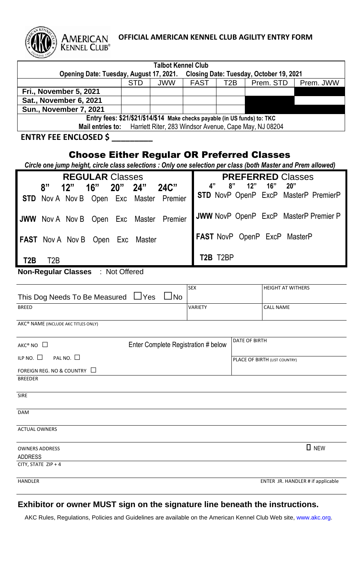

# **OFFICIAL AMERICAN KENNEL CLUB AGILITY ENTRY FORM**

| <b>Talbot Kennel Club</b>                                                                                     |               |            |                                                                           |                  |                                                      |                                       |
|---------------------------------------------------------------------------------------------------------------|---------------|------------|---------------------------------------------------------------------------|------------------|------------------------------------------------------|---------------------------------------|
| Opening Date: Tuesday, August 17, 2021.                                                                       | STD           | <b>JWW</b> | <b>FAST</b>                                                               | T <sub>2</sub> B | Closing Date: Tuesday, October 19, 2021<br>Prem. STD | Prem. JWW                             |
| Fri., November 5, 2021                                                                                        |               |            |                                                                           |                  |                                                      |                                       |
| Sat., November 6, 2021                                                                                        |               |            |                                                                           |                  |                                                      |                                       |
| <b>Sun., November 7, 2021</b>                                                                                 |               |            |                                                                           |                  |                                                      |                                       |
|                                                                                                               |               |            | Entry fees: \$21/\$21/\$14/\$14 Make checks payable (in US funds) to: TKC |                  |                                                      |                                       |
| Mail entries to:                                                                                              |               |            | Harriett Riter, 283 Windsor Avenue, Cape May, NJ 08204                    |                  |                                                      |                                       |
| <b>ENTRY FEE ENCLOSED \$</b>                                                                                  |               |            |                                                                           |                  |                                                      |                                       |
| <b>Choose Either Regular OR Preferred Classes</b>                                                             |               |            |                                                                           |                  |                                                      |                                       |
| Circle one jump height, circle class selections : Only one selection per class (both Master and Prem allowed) |               |            |                                                                           |                  |                                                      |                                       |
| <b>REGULAR Classes</b>                                                                                        |               |            |                                                                           |                  | <b>PREFERRED Classes</b>                             |                                       |
| 8"<br>16"<br>12"<br>20"                                                                                       | 24"           | 24C"       | 4"                                                                        | 8"<br>12"        | 16"<br>20"                                           |                                       |
| <b>STD</b> Nov A Nov B Open Exc Master Premier                                                                |               |            |                                                                           |                  |                                                      | STD NovP OpenP ExcP MasterP PremierP  |
| <b>JWW</b> Nov A Nov B Open                                                                                   | Exc<br>Master | Premier    |                                                                           |                  |                                                      | JWW NovP OpenP ExcP MasterP Premier P |
| FAST Nov A Nov B Open                                                                                         | Exc<br>Master |            |                                                                           |                  | FAST NovP OpenP ExcP MasterP                         |                                       |
| T <sub>2</sub> B<br>T <sub>2</sub> B                                                                          |               |            | T2B T2BP                                                                  |                  |                                                      |                                       |
| <b>Non-Regular Classes : Not Offered</b>                                                                      |               |            |                                                                           |                  |                                                      |                                       |
|                                                                                                               |               |            |                                                                           |                  |                                                      |                                       |
| This Dog Needs To Be Measured                                                                                 | $\sqcup$ Yes  | $\Box$ No  | <b>SEX</b>                                                                |                  | <b>HEIGHT AT WITHERS</b>                             |                                       |
| <b>BREED</b>                                                                                                  |               |            | VARIETY                                                                   |                  | <b>CALL NAME</b>                                     |                                       |
| AKC® NAME (INCLUDE AKC TITLES ONLY)                                                                           |               |            |                                                                           |                  |                                                      |                                       |
|                                                                                                               |               |            |                                                                           | DATE OF BIRTH    |                                                      |                                       |
| $AKC^{\circ}$ NO $\Box$                                                                                       |               |            | Enter Complete Registration # below                                       |                  |                                                      |                                       |
| ILP NO. $\square$<br>PAL NO. $\square$                                                                        |               |            |                                                                           |                  | PLACE OF BIRTH (LIST COUNTRY)                        |                                       |
| FOREIGN REG. NO & COUNTRY □                                                                                   |               |            |                                                                           |                  |                                                      |                                       |
| <b>BREEDER</b>                                                                                                |               |            |                                                                           |                  |                                                      |                                       |
| <b>SIRE</b>                                                                                                   |               |            |                                                                           |                  |                                                      |                                       |
| DAM                                                                                                           |               |            |                                                                           |                  |                                                      |                                       |
| <b>ACTUAL OWNERS</b>                                                                                          |               |            |                                                                           |                  |                                                      |                                       |
| <b>OWNERS ADDRESS</b>                                                                                         |               |            |                                                                           |                  |                                                      | <b>D</b> NEW                          |
| ADDRESS                                                                                                       |               |            |                                                                           |                  |                                                      |                                       |
| CITY, STATE ZIP + 4                                                                                           |               |            |                                                                           |                  |                                                      |                                       |
| HANDLER                                                                                                       |               |            |                                                                           |                  |                                                      | ENTER JR. HANDLER # if applicable     |

# **Exhibitor or owner MUST sign on the signature line beneath the instructions.**

AKC Rules, Regulations, Policies and Guidelines are available on the American Kennel Club Web site, www.akc.org.